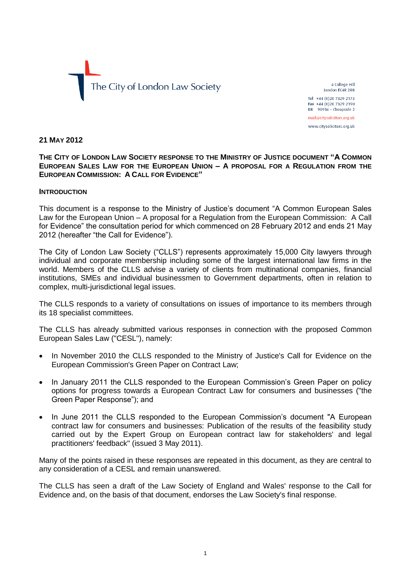

4 College Hill London EC4R 2RB Tel +44 (0) 20 7329 2173

Fax +44 (0)20 7329 2190  $DX$  98936 - Cheapside 2 mail@citysolicitors.org.uk

www.citysolicitors.org.uk

### **21 MAY 2012**

**THE CITY OF LONDON LAW SOCIETY RESPONSE TO THE MINISTRY OF JUSTICE DOCUMENT "A COMMON EUROPEAN SALES LAW FOR THE EUROPEAN UNION – A PROPOSAL FOR A REGULATION FROM THE EUROPEAN COMMISSION: A CALL FOR EVIDENCE"**

#### **INTRODUCTION**

This document is a response to the Ministry of Justice's document "A Common European Sales Law for the European Union – A proposal for a Regulation from the European Commission: A Call for Evidence" the consultation period for which commenced on 28 February 2012 and ends 21 May 2012 (hereafter "the Call for Evidence").

The City of London Law Society ("CLLS") represents approximately 15,000 City lawyers through individual and corporate membership including some of the largest international law firms in the world. Members of the CLLS advise a variety of clients from multinational companies, financial institutions, SMEs and individual businessmen to Government departments, often in relation to complex, multi-jurisdictional legal issues.

The CLLS responds to a variety of consultations on issues of importance to its members through its 18 specialist committees.

The CLLS has already submitted various responses in connection with the proposed Common European Sales Law ("CESL"), namely:

- In November 2010 the CLLS responded to the Ministry of Justice's Call for Evidence on the European Commission's Green Paper on Contract Law;
- In January 2011 the CLLS responded to the European Commission's Green Paper on policy options for progress towards a European Contract Law for consumers and businesses ("the Green Paper Response"); and
- In June 2011 the CLLS responded to the European Commission's document "A European contract law for consumers and businesses: Publication of the results of the feasibility study carried out by the Expert Group on European contract law for stakeholders' and legal practitioners' feedback" (issued 3 May 2011).

Many of the points raised in these responses are repeated in this document, as they are central to any consideration of a CESL and remain unanswered.

The CLLS has seen a draft of the Law Society of England and Wales' response to the Call for Evidence and, on the basis of that document, endorses the Law Society's final response.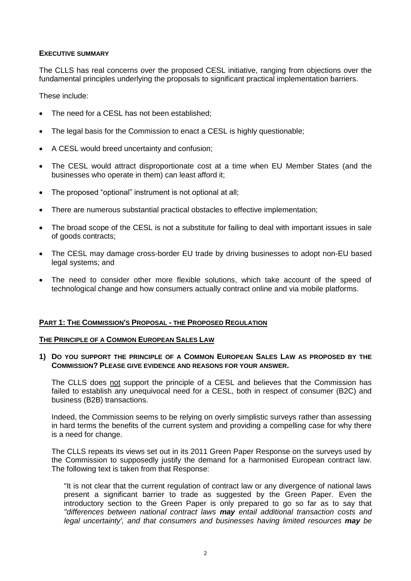# **EXECUTIVE SUMMARY**

The CLLS has real concerns over the proposed CESL initiative, ranging from objections over the fundamental principles underlying the proposals to significant practical implementation barriers.

These include:

- The need for a CESL has not been established;
- The legal basis for the Commission to enact a CESL is highly questionable;
- A CESL would breed uncertainty and confusion;
- The CESL would attract disproportionate cost at a time when EU Member States (and the businesses who operate in them) can least afford it;
- The proposed "optional" instrument is not optional at all;
- There are numerous substantial practical obstacles to effective implementation;
- The broad scope of the CESL is not a substitute for failing to deal with important issues in sale of goods contracts;
- The CESL may damage cross-border EU trade by driving businesses to adopt non-EU based legal systems; and
- The need to consider other more flexible solutions, which take account of the speed of technological change and how consumers actually contract online and via mobile platforms.

# **PART 1: THE COMMISSION'S PROPOSAL - THE PROPOSED REGULATION**

# **THE PRINCIPLE OF A COMMON EUROPEAN SALES LAW**

**1) DO YOU SUPPORT THE PRINCIPLE OF A COMMON EUROPEAN SALES LAW AS PROPOSED BY THE COMMISSION? PLEASE GIVE EVIDENCE AND REASONS FOR YOUR ANSWER.**

The CLLS does not support the principle of a CESL and believes that the Commission has failed to establish any unequivocal need for a CESL, both in respect of consumer (B2C) and business (B2B) transactions.

Indeed, the Commission seems to be relying on overly simplistic surveys rather than assessing in hard terms the benefits of the current system and providing a compelling case for why there is a need for change.

The CLLS repeats its views set out in its 2011 Green Paper Response on the surveys used by the Commission to supposedly justify the demand for a harmonised European contract law. The following text is taken from that Response:

"It is not clear that the current regulation of contract law or any divergence of national laws present a significant barrier to trade as suggested by the Green Paper. Even the introductory section to the Green Paper is only prepared to go so far as to say that *"differences between national contract laws may entail additional transaction costs and*  legal uncertainty', and that consumers and businesses having limited resources **may** be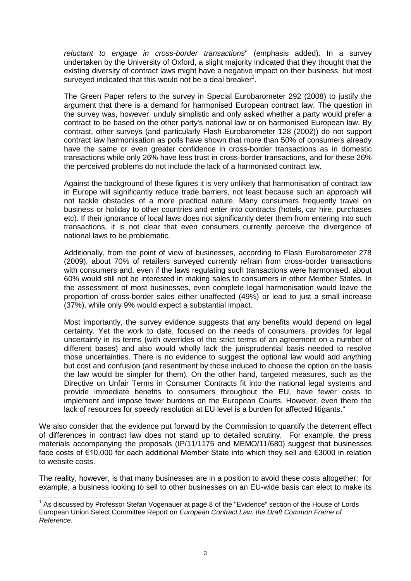*reluctant to engage in cross-border transactions*" (emphasis added). In a survey undertaken by the University of Oxford, a slight majority indicated that they thought that the existing diversity of contract laws might have a negative impact on their business, but most surveyed indicated that this would not be a deal breaker $1$ .

The Green Paper refers to the survey in Special Eurobarometer 292 (2008) to justify the argument that there is a demand for harmonised European contract law. The question in the survey was, however, unduly simplistic and only asked whether a party would prefer a contract to be based on the other party's national law or on harmonised European law. By contrast, other surveys (and particularly Flash Eurobarometer 128 (2002)) do not support contract law harmonisation as polls have shown that more than 50% of consumers already have the same or even greater confidence in cross-border transactions as in domestic transactions while only 26% have less trust in cross-border transactions, and for these 26% the perceived problems do not include the lack of a harmonised contract law.

Against the background of these figures it is very unlikely that harmonisation of contract law in Europe will significantly reduce trade barriers, not least because such an approach will not tackle obstacles of a more practical nature. Many consumers frequently travel on business or holiday to other countries and enter into contracts (hotels, car hire, purchases etc). If their ignorance of local laws does not significantly deter them from entering into such transactions, it is not clear that even consumers currently perceive the divergence of national laws to be problematic.

Additionally, from the point of view of businesses, according to Flash Eurobarometer 278 (2009), about 70% of retailers surveyed currently refrain from cross-border transactions with consumers and, even if the laws regulating such transactions were harmonised, about 60% would still not be interested in making sales to consumers in other Member States. In the assessment of most businesses, even complete legal harmonisation would leave the proportion of cross-border sales either unaffected (49%) or lead to just a small increase (37%), while only 9% would expect a substantial impact.

Most importantly, the survey evidence suggests that any benefits would depend on legal certainty. Yet the work to date, focused on the needs of consumers, provides for legal uncertainty in its terms (with overrides of the strict terms of an agreement on a number of different bases) and also would wholly lack the jurisprudential basis needed to resolve those uncertainties. There is no evidence to suggest the optional law would add anything but cost and confusion (and resentment by those induced to choose the option on the basis the law would be simpler for them). On the other hand, targeted measures, such as the Directive on Unfair Terms in Consumer Contracts fit into the national legal systems and provide immediate benefits to consumers throughout the EU, have fewer costs to implement and impose fewer burdens on the European Courts. However, even there the lack of resources for speedy resolution at EU level is a burden for affected litigants."

We also consider that the evidence put forward by the Commission to quantify the deterrent effect of differences in contract law does not stand up to detailed scrutiny. For example, the press materials accompanying the proposals (IP/11/1175 and MEMO/11/680) suggest that businesses face costs of €10,000 for each additional Member State into which they sell and €3000 in relation to website costs.

The reality, however, is that many businesses are in a position to avoid these costs altogether; for example, a business looking to sell to other businesses on an EU-wide basis can elect to make its

<sup>-</sup><sup>1</sup> As discussed by Professor Stefan Vogenauer at page 8 of the "Evidence" section of the House of Lords European Union Select Committee Report on *European Contract Law: the Draft Common Frame of Reference.*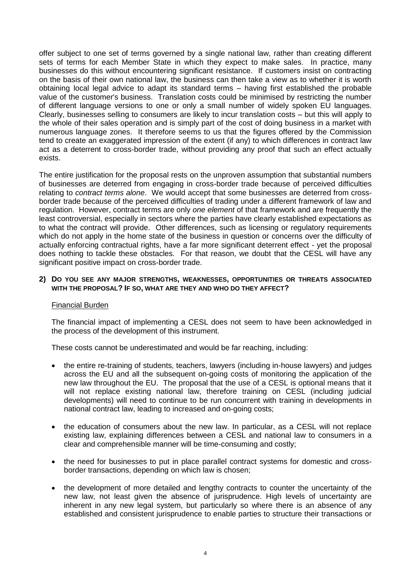offer subject to one set of terms governed by a single national law, rather than creating different sets of terms for each Member State in which they expect to make sales. In practice, many businesses do this without encountering significant resistance. If customers insist on contracting on the basis of their own national law, the business can then take a view as to whether it is worth obtaining local legal advice to adapt its standard terms – having first established the probable value of the customer's business. Translation costs could be minimised by restricting the number of different language versions to one or only a small number of widely spoken EU languages. Clearly, businesses selling to consumers are likely to incur translation costs – but this will apply to the whole of their sales operation and is simply part of the cost of doing business in a market with numerous language zones. It therefore seems to us that the figures offered by the Commission tend to create an exaggerated impression of the extent (if any) to which differences in contract law act as a deterrent to cross-border trade, without providing any proof that such an effect actually exists.

The entire justification for the proposal rests on the unproven assumption that substantial numbers of businesses are deterred from engaging in cross-border trade because of perceived difficulties relating to *contract terms alone*. We would accept that some businesses are deterred from crossborder trade because of the perceived difficulties of trading under a different framework of law and regulation. However, contract terms are only *one element* of that framework and are frequently the least controversial, especially in sectors where the parties have clearly established expectations as to what the contract will provide. Other differences, such as licensing or regulatory requirements which do not apply in the home state of the business in question or concerns over the difficulty of actually enforcing contractual rights, have a far more significant deterrent effect - yet the proposal does nothing to tackle these obstacles. For that reason, we doubt that the CESL will have any significant positive impact on cross-border trade.

# **2) DO YOU SEE ANY MAJOR STRENGTHS, WEAKNESSES, OPPORTUNITIES OR THREATS ASSOCIATED WITH THE PROPOSAL? IF SO, WHAT ARE THEY AND WHO DO THEY AFFECT?**

# Financial Burden

The financial impact of implementing a CESL does not seem to have been acknowledged in the process of the development of this instrument.

These costs cannot be underestimated and would be far reaching, including:

- the entire re-training of students, teachers, lawyers (including in-house lawyers) and judges across the EU and all the subsequent on-going costs of monitoring the application of the new law throughout the EU. The proposal that the use of a CESL is optional means that it will not replace existing national law, therefore training on CESL (including judicial developments) will need to continue to be run concurrent with training in developments in national contract law, leading to increased and on-going costs;
- the education of consumers about the new law. In particular, as a CESL will not replace existing law, explaining differences between a CESL and national law to consumers in a clear and comprehensible manner will be time-consuming and costly;
- the need for businesses to put in place parallel contract systems for domestic and crossborder transactions, depending on which law is chosen;
- the development of more detailed and lengthy contracts to counter the uncertainty of the new law, not least given the absence of jurisprudence. High levels of uncertainty are inherent in any new legal system, but particularly so where there is an absence of any established and consistent jurisprudence to enable parties to structure their transactions or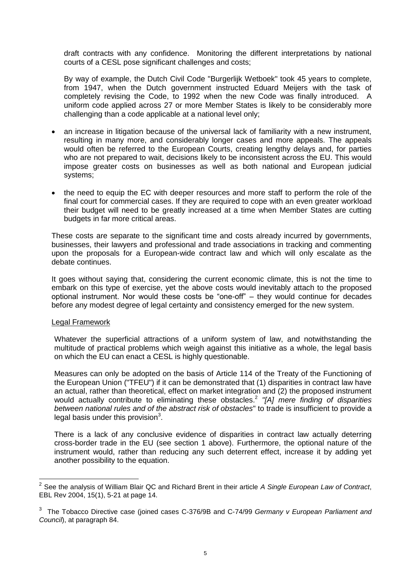draft contracts with any confidence. Monitoring the different interpretations by national courts of a CESL pose significant challenges and costs;

By way of example, the Dutch Civil Code "Burgerlijk Wetboek" took 45 years to complete, from 1947, when the Dutch government instructed Eduard Meijers with the task of completely revising the Code, to 1992 when the new Code was finally introduced. A uniform code applied across 27 or more Member States is likely to be considerably more challenging than a code applicable at a national level only;

- an increase in litigation because of the universal lack of familiarity with a new instrument, resulting in many more, and considerably longer cases and more appeals. The appeals would often be referred to the European Courts, creating lengthy delays and, for parties who are not prepared to wait, decisions likely to be inconsistent across the EU. This would impose greater costs on businesses as well as both national and European judicial systems;
- the need to equip the EC with deeper resources and more staff to perform the role of the final court for commercial cases. If they are required to cope with an even greater workload their budget will need to be greatly increased at a time when Member States are cutting budgets in far more critical areas.

These costs are separate to the significant time and costs already incurred by governments, businesses, their lawyers and professional and trade associations in tracking and commenting upon the proposals for a European-wide contract law and which will only escalate as the debate continues.

It goes without saying that, considering the current economic climate, this is not the time to embark on this type of exercise, yet the above costs would inevitably attach to the proposed optional instrument. Nor would these costs be "one-off" – they would continue for decades before any modest degree of legal certainty and consistency emerged for the new system.

# Legal Framework

-

Whatever the superficial attractions of a uniform system of law, and notwithstanding the multitude of practical problems which weigh against this initiative as a whole, the legal basis on which the EU can enact a CESL is highly questionable.

Measures can only be adopted on the basis of Article 114 of the Treaty of the Functioning of the European Union ("TFEU") if it can be demonstrated that (1) disparities in contract law have an actual, rather than theoretical, effect on market integration and (2) the proposed instrument would actually contribute to eliminating these obstacles.<sup>2</sup> *"[A] mere finding of disparities between national rules and of the abstract risk of obstacles*" to trade is insufficient to provide a legal basis under this provision $3$ .

There is a lack of any conclusive evidence of disparities in contract law actually deterring cross-border trade in the EU (see section 1 above). Furthermore, the optional nature of the instrument would, rather than reducing any such deterrent effect, increase it by adding yet another possibility to the equation.

<sup>2</sup> See the analysis of William Blair QC and Richard Brent in their article *A Single European Law of Contract*, EBL Rev 2004, 15(1), 5-21 at page 14.

<sup>3</sup> The Tobacco Directive case (joined cases C-376/9B and C-74/99 *Germany v European Parliament and Council*), at paragraph 84.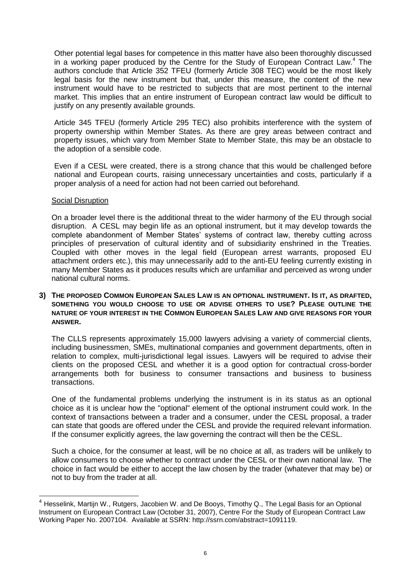Other potential legal bases for competence in this matter have also been thoroughly discussed in a working paper produced by the Centre for the Study of European Contract Law.<sup>4</sup> The authors conclude that Article 352 TFEU (formerly Article 308 TEC) would be the most likely legal basis for the new instrument but that, under this measure, the content of the new instrument would have to be restricted to subjects that are most pertinent to the internal market. This implies that an entire instrument of European contract law would be difficult to justify on any presently available grounds.

Article 345 TFEU (formerly Article 295 TEC) also prohibits interference with the system of property ownership within Member States. As there are grey areas between contract and property issues, which vary from Member State to Member State, this may be an obstacle to the adoption of a sensible code.

Even if a CESL were created, there is a strong chance that this would be challenged before national and European courts, raising unnecessary uncertainties and costs, particularly if a proper analysis of a need for action had not been carried out beforehand.

# Social Disruption

-

On a broader level there is the additional threat to the wider harmony of the EU through social disruption. A CESL may begin life as an optional instrument, but it may develop towards the complete abandonment of Member States' systems of contract law, thereby cutting across principles of preservation of cultural identity and of subsidiarity enshrined in the Treaties. Coupled with other moves in the legal field (European arrest warrants, proposed EU attachment orders etc.), this may unnecessarily add to the anti-EU feeling currently existing in many Member States as it produces results which are unfamiliar and perceived as wrong under national cultural norms.

# **3) THE PROPOSED COMMON EUROPEAN SALES LAW IS AN OPTIONAL INSTRUMENT. IS IT, AS DRAFTED, SOMETHING YOU WOULD CHOOSE TO USE OR ADVISE OTHERS TO USE? PLEASE OUTLINE THE NATURE OF YOUR INTEREST IN THE COMMON EUROPEAN SALES LAW AND GIVE REASONS FOR YOUR ANSWER.**

The CLLS represents approximately 15,000 lawyers advising a variety of commercial clients, including businessmen, SMEs, multinational companies and government departments, often in relation to complex, multi-jurisdictional legal issues. Lawyers will be required to advise their clients on the proposed CESL and whether it is a good option for contractual cross-border arrangements both for business to consumer transactions and business to business transactions.

One of the fundamental problems underlying the instrument is in its status as an optional choice as it is unclear how the "optional" element of the optional instrument could work. In the context of transactions between a trader and a consumer, under the CESL proposal, a trader can state that goods are offered under the CESL and provide the required relevant information. If the consumer explicitly agrees, the law governing the contract will then be the CESL.

Such a choice, for the consumer at least, will be no choice at all, as traders will be unlikely to allow consumers to choose whether to contract under the CESL or their own national law. The choice in fact would be either to accept the law chosen by the trader (whatever that may be) or not to buy from the trader at all.

<sup>&</sup>lt;sup>4</sup> Hesselink, Martijn W., Rutgers, Jacobien W. and De Booys, Timothy Q., The Legal Basis for an Optional Instrument on European Contract Law (October 31, 2007), Centre For the Study of European Contract Law Working Paper No. 2007104. Available at SSRN: http://ssrn.com/abstract=1091119.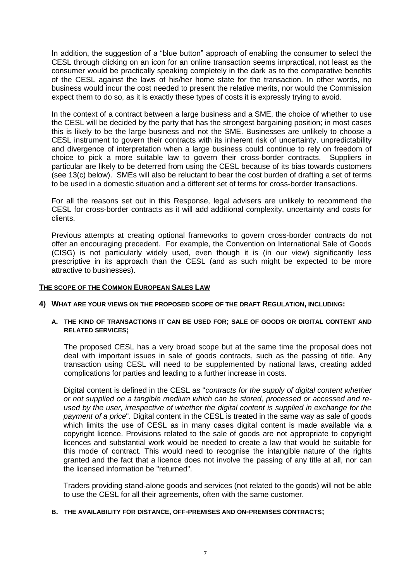In addition, the suggestion of a "blue button" approach of enabling the consumer to select the CESL through clicking on an icon for an online transaction seems impractical, not least as the consumer would be practically speaking completely in the dark as to the comparative benefits of the CESL against the laws of his/her home state for the transaction. In other words, no business would incur the cost needed to present the relative merits, nor would the Commission expect them to do so, as it is exactly these types of costs it is expressly trying to avoid.

In the context of a contract between a large business and a SME, the choice of whether to use the CESL will be decided by the party that has the strongest bargaining position; in most cases this is likely to be the large business and not the SME. Businesses are unlikely to choose a CESL instrument to govern their contracts with its inherent risk of uncertainty, unpredictability and divergence of interpretation when a large business could continue to rely on freedom of choice to pick a more suitable law to govern their cross-border contracts. Suppliers in particular are likely to be deterred from using the CESL because of its bias towards customers (see 13(c) below). SMEs will also be reluctant to bear the cost burden of drafting a set of terms to be used in a domestic situation and a different set of terms for cross-border transactions.

For all the reasons set out in this Response, legal advisers are unlikely to recommend the CESL for cross-border contracts as it will add additional complexity, uncertainty and costs for clients.

Previous attempts at creating optional frameworks to govern cross-border contracts do not offer an encouraging precedent. For example, the Convention on International Sale of Goods (CISG) is not particularly widely used, even though it is (in our view) significantly less prescriptive in its approach than the CESL (and as such might be expected to be more attractive to businesses).

# **THE SCOPE OF THE COMMON EUROPEAN SALES LAW**

**4) WHAT ARE YOUR VIEWS ON THE PROPOSED SCOPE OF THE DRAFT REGULATION, INCLUDING:**

# **A. THE KIND OF TRANSACTIONS IT CAN BE USED FOR; SALE OF GOODS OR DIGITAL CONTENT AND RELATED SERVICES;**

The proposed CESL has a very broad scope but at the same time the proposal does not deal with important issues in sale of goods contracts, such as the passing of title. Any transaction using CESL will need to be supplemented by national laws, creating added complications for parties and leading to a further increase in costs.

Digital content is defined in the CESL as "*contracts for the supply of digital content whether or not supplied on a tangible medium which can be stored, processed or accessed and reused by the user, irrespective of whether the digital content is supplied in exchange for the payment of a price*". Digital content in the CESL is treated in the same way as sale of goods which limits the use of CESL as in many cases digital content is made available via a copyright licence. Provisions related to the sale of goods are not appropriate to copyright licences and substantial work would be needed to create a law that would be suitable for this mode of contract. This would need to recognise the intangible nature of the rights granted and the fact that a licence does not involve the passing of any title at all, nor can the licensed information be "returned".

Traders providing stand-alone goods and services (not related to the goods) will not be able to use the CESL for all their agreements, often with the same customer.

# **B. THE AVAILABILITY FOR DISTANCE, OFF-PREMISES AND ON-PREMISES CONTRACTS;**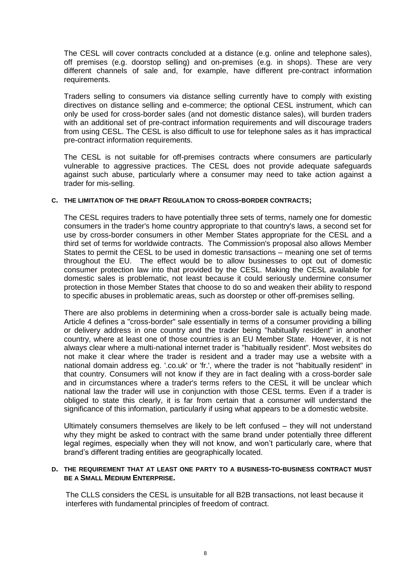The CESL will cover contracts concluded at a distance (e.g. online and telephone sales), off premises (e.g. doorstop selling) and on-premises (e.g. in shops). These are very different channels of sale and, for example, have different pre-contract information requirements.

Traders selling to consumers via distance selling currently have to comply with existing directives on distance selling and e-commerce; the optional CESL instrument, which can only be used for cross-border sales (and not domestic distance sales), will burden traders with an additional set of pre-contract information requirements and will discourage traders from using CESL. The CESL is also difficult to use for telephone sales as it has impractical pre-contract information requirements.

The CESL is not suitable for off-premises contracts where consumers are particularly vulnerable to aggressive practices. The CESL does not provide adequate safeguards against such abuse, particularly where a consumer may need to take action against a trader for mis-selling.

#### **C. THE LIMITATION OF THE DRAFT REGULATION TO CROSS-BORDER CONTRACTS;**

The CESL requires traders to have potentially three sets of terms, namely one for domestic consumers in the trader's home country appropriate to that country's laws, a second set for use by cross-border consumers in other Member States appropriate for the CESL and a third set of terms for worldwide contracts. The Commission's proposal also allows Member States to permit the CESL to be used in domestic transactions – meaning one set of terms throughout the EU. The effect would be to allow businesses to opt out of domestic consumer protection law into that provided by the CESL. Making the CESL available for domestic sales is problematic, not least because it could seriously undermine consumer protection in those Member States that choose to do so and weaken their ability to respond to specific abuses in problematic areas, such as doorstep or other off-premises selling.

There are also problems in determining when a cross-border sale is actually being made. Article 4 defines a "cross-border" sale essentially in terms of a consumer providing a billing or delivery address in one country and the trader being "habitually resident" in another country, where at least one of those countries is an EU Member State. However, it is not always clear where a multi-national internet trader is "habitually resident". Most websites do not make it clear where the trader is resident and a trader may use a website with a national domain address eg. '.co.uk' or 'fr.', where the trader is not "habitually resident" in that country. Consumers will not know if they are in fact dealing with a cross-border sale and in circumstances where a trader's terms refers to the CESL it will be unclear which national law the trader will use in conjunction with those CESL terms. Even if a trader is obliged to state this clearly, it is far from certain that a consumer will understand the significance of this information, particularly if using what appears to be a domestic website.

Ultimately consumers themselves are likely to be left confused – they will not understand why they might be asked to contract with the same brand under potentially three different legal regimes, especially when they will not know, and won't particularly care, where that brand's different trading entities are geographically located.

#### **D. THE REQUIREMENT THAT AT LEAST ONE PARTY TO A BUSINESS-TO-BUSINESS CONTRACT MUST BE A SMALL MEDIUM ENTERPRISE.**

The CLLS considers the CESL is unsuitable for all B2B transactions, not least because it interferes with fundamental principles of freedom of contract.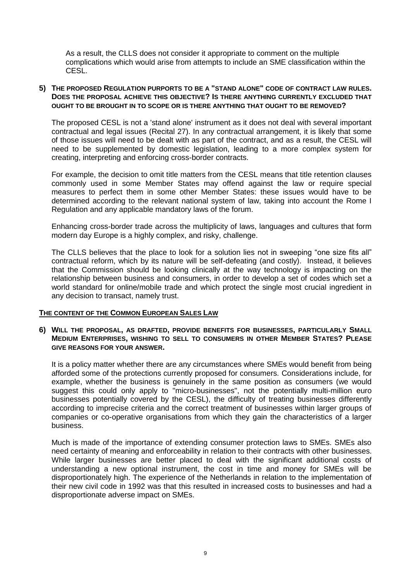As a result, the CLLS does not consider it appropriate to comment on the multiple complications which would arise from attempts to include an SME classification within the CESL.

# **5) THE PROPOSED REGULATION PURPORTS TO BE A "STAND ALONE" CODE OF CONTRACT LAW RULES. DOES THE PROPOSAL ACHIEVE THIS OBJECTIVE? IS THERE ANYTHING CURRENTLY EXCLUDED THAT OUGHT TO BE BROUGHT IN TO SCOPE OR IS THERE ANYTHING THAT OUGHT TO BE REMOVED?**

The proposed CESL is not a 'stand alone' instrument as it does not deal with several important contractual and legal issues (Recital 27). In any contractual arrangement, it is likely that some of those issues will need to be dealt with as part of the contract, and as a result, the CESL will need to be supplemented by domestic legislation, leading to a more complex system for creating, interpreting and enforcing cross-border contracts.

For example, the decision to omit title matters from the CESL means that title retention clauses commonly used in some Member States may offend against the law or require special measures to perfect them in some other Member States: these issues would have to be determined according to the relevant national system of law, taking into account the Rome I Regulation and any applicable mandatory laws of the forum.

Enhancing cross-border trade across the multiplicity of laws, languages and cultures that form modern day Europe is a highly complex, and risky, challenge.

The CLLS believes that the place to look for a solution lies not in sweeping "one size fits all" contractual reform, which by its nature will be self-defeating (and costly). Instead, it believes that the Commission should be looking clinically at the way technology is impacting on the relationship between business and consumers, in order to develop a set of codes which set a world standard for online/mobile trade and which protect the single most crucial ingredient in any decision to transact, namely trust.

# **THE CONTENT OF THE COMMON EUROPEAN SALES LAW**

# **6) WILL THE PROPOSAL, AS DRAFTED, PROVIDE BENEFITS FOR BUSINESSES, PARTICULARLY SMALL MEDIUM ENTERPRISES, WISHING TO SELL TO CONSUMERS IN OTHER MEMBER STATES? PLEASE GIVE REASONS FOR YOUR ANSWER.**

It is a policy matter whether there are any circumstances where SMEs would benefit from being afforded some of the protections currently proposed for consumers. Considerations include, for example, whether the business is genuinely in the same position as consumers (we would suggest this could only apply to "micro-businesses", not the potentially multi-million euro businesses potentially covered by the CESL), the difficulty of treating businesses differently according to imprecise criteria and the correct treatment of businesses within larger groups of companies or co-operative organisations from which they gain the characteristics of a larger business.

Much is made of the importance of extending consumer protection laws to SMEs. SMEs also need certainty of meaning and enforceability in relation to their contracts with other businesses. While larger businesses are better placed to deal with the significant additional costs of understanding a new optional instrument, the cost in time and money for SMEs will be disproportionately high. The experience of the Netherlands in relation to the implementation of their new civil code in 1992 was that this resulted in increased costs to businesses and had a disproportionate adverse impact on SMEs.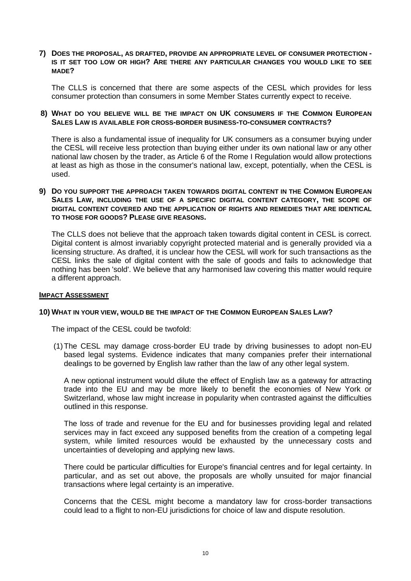# **7) DOES THE PROPOSAL, AS DRAFTED, PROVIDE AN APPROPRIATE LEVEL OF CONSUMER PROTECTION - IS IT SET TOO LOW OR HIGH? ARE THERE ANY PARTICULAR CHANGES YOU WOULD LIKE TO SEE MADE?**

The CLLS is concerned that there are some aspects of the CESL which provides for less consumer protection than consumers in some Member States currently expect to receive.

# **8) WHAT DO YOU BELIEVE WILL BE THE IMPACT ON UK CONSUMERS IF THE COMMON EUROPEAN SALES LAW IS AVAILABLE FOR CROSS-BORDER BUSINESS-TO-CONSUMER CONTRACTS?**

There is also a fundamental issue of inequality for UK consumers as a consumer buying under the CESL will receive less protection than buying either under its own national law or any other national law chosen by the trader, as Article 6 of the Rome I Regulation would allow protections at least as high as those in the consumer's national law, except, potentially, when the CESL is used.

# **9) DO YOU SUPPORT THE APPROACH TAKEN TOWARDS DIGITAL CONTENT IN THE COMMON EUROPEAN SALES LAW, INCLUDING THE USE OF A SPECIFIC DIGITAL CONTENT CATEGORY, THE SCOPE OF DIGITAL CONTENT COVERED AND THE APPLICATION OF RIGHTS AND REMEDIES THAT ARE IDENTICAL TO THOSE FOR GOODS? PLEASE GIVE REASONS.**

The CLLS does not believe that the approach taken towards digital content in CESL is correct. Digital content is almost invariably copyright protected material and is generally provided via a licensing structure. As drafted, it is unclear how the CESL will work for such transactions as the CESL links the sale of digital content with the sale of goods and fails to acknowledge that nothing has been 'sold'. We believe that any harmonised law covering this matter would require a different approach.

# **IMPACT ASSESSMENT**

# **10) WHAT IN YOUR VIEW, WOULD BE THE IMPACT OF THE COMMON EUROPEAN SALES LAW?**

The impact of the CESL could be twofold:

(1)The CESL may damage cross-border EU trade by driving businesses to adopt non-EU based legal systems. Evidence indicates that many companies prefer their international dealings to be governed by English law rather than the law of any other legal system.

A new optional instrument would dilute the effect of English law as a gateway for attracting trade into the EU and may be more likely to benefit the economies of New York or Switzerland, whose law might increase in popularity when contrasted against the difficulties outlined in this response.

The loss of trade and revenue for the EU and for businesses providing legal and related services may in fact exceed any supposed benefits from the creation of a competing legal system, while limited resources would be exhausted by the unnecessary costs and uncertainties of developing and applying new laws.

There could be particular difficulties for Europe's financial centres and for legal certainty. In particular, and as set out above, the proposals are wholly unsuited for major financial transactions where legal certainty is an imperative.

Concerns that the CESL might become a mandatory law for cross-border transactions could lead to a flight to non-EU jurisdictions for choice of law and dispute resolution.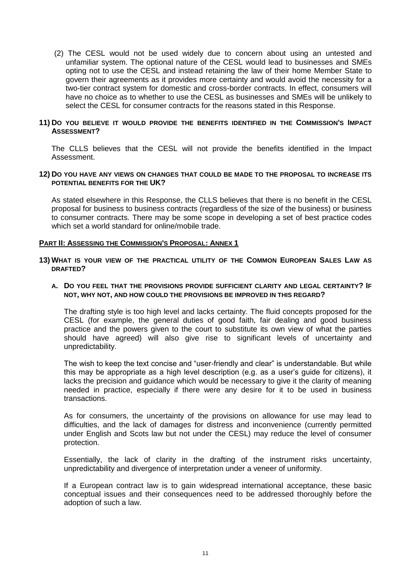(2) The CESL would not be used widely due to concern about using an untested and unfamiliar system. The optional nature of the CESL would lead to businesses and SMEs opting not to use the CESL and instead retaining the law of their home Member State to govern their agreements as it provides more certainty and would avoid the necessity for a two-tier contract system for domestic and cross-border contracts. In effect, consumers will have no choice as to whether to use the CESL as businesses and SMEs will be unlikely to select the CESL for consumer contracts for the reasons stated in this Response.

# **11) DO YOU BELIEVE IT WOULD PROVIDE THE BENEFITS IDENTIFIED IN THE COMMISSION'S IMPACT ASSESSMENT?**

The CLLS believes that the CESL will not provide the benefits identified in the Impact Assessment.

#### **12) DO YOU HAVE ANY VIEWS ON CHANGES THAT COULD BE MADE TO THE PROPOSAL TO INCREASE ITS POTENTIAL BENEFITS FOR THE UK?**

As stated elsewhere in this Response, the CLLS believes that there is no benefit in the CESL proposal for business to business contracts (regardless of the size of the business) or business to consumer contracts. There may be some scope in developing a set of best practice codes which set a world standard for online/mobile trade.

#### **PART II: ASSESSING THE COMMISSION'S PROPOSAL: ANNEX 1**

### **13) WHAT IS YOUR VIEW OF THE PRACTICAL UTILITY OF THE COMMON EUROPEAN SALES LAW AS DRAFTED?**

# **A. DO YOU FEEL THAT THE PROVISIONS PROVIDE SUFFICIENT CLARITY AND LEGAL CERTAINTY? IF NOT, WHY NOT, AND HOW COULD THE PROVISIONS BE IMPROVED IN THIS REGARD?**

The drafting style is too high level and lacks certainty. The fluid concepts proposed for the CESL (for example, the general duties of good faith, fair dealing and good business practice and the powers given to the court to substitute its own view of what the parties should have agreed) will also give rise to significant levels of uncertainty and unpredictability.

The wish to keep the text concise and "user-friendly and clear" is understandable. But while this may be appropriate as a high level description (e.g. as a user's guide for citizens), it lacks the precision and guidance which would be necessary to give it the clarity of meaning needed in practice, especially if there were any desire for it to be used in business transactions.

As for consumers, the uncertainty of the provisions on allowance for use may lead to difficulties, and the lack of damages for distress and inconvenience (currently permitted under English and Scots law but not under the CESL) may reduce the level of consumer protection.

Essentially, the lack of clarity in the drafting of the instrument risks uncertainty, unpredictability and divergence of interpretation under a veneer of uniformity.

If a European contract law is to gain widespread international acceptance, these basic conceptual issues and their consequences need to be addressed thoroughly before the adoption of such a law.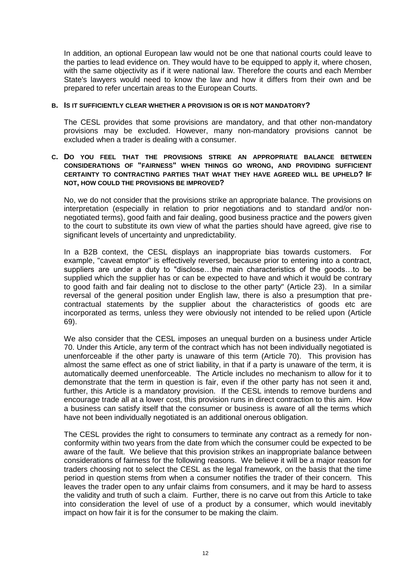In addition, an optional European law would not be one that national courts could leave to the parties to lead evidence on. They would have to be equipped to apply it, where chosen, with the same objectivity as if it were national law. Therefore the courts and each Member State's lawyers would need to know the law and how it differs from their own and be prepared to refer uncertain areas to the European Courts.

# **B. IS IT SUFFICIENTLY CLEAR WHETHER A PROVISION IS OR IS NOT MANDATORY?**

The CESL provides that some provisions are mandatory, and that other non-mandatory provisions may be excluded. However, many non-mandatory provisions cannot be excluded when a trader is dealing with a consumer.

# **C. DO YOU FEEL THAT THE PROVISIONS STRIKE AN APPROPRIATE BALANCE BETWEEN CONSIDERATIONS OF "FAIRNESS" WHEN THINGS GO WRONG, AND PROVIDING SUFFICIENT CERTAINTY TO CONTRACTING PARTIES THAT WHAT THEY HAVE AGREED WILL BE UPHELD? IF NOT, HOW COULD THE PROVISIONS BE IMPROVED?**

No, we do not consider that the provisions strike an appropriate balance. The provisions on interpretation (especially in relation to prior negotiations and to standard and/or nonnegotiated terms), good faith and fair dealing, good business practice and the powers given to the court to substitute its own view of what the parties should have agreed, give rise to significant levels of uncertainty and unpredictability.

In a B2B context, the CESL displays an inappropriate bias towards customers. For example, "caveat emptor" is effectively reversed, because prior to entering into a contract, suppliers are under a duty to "disclose…the main characteristics of the goods…to be supplied which the supplier has or can be expected to have and which it would be contrary to good faith and fair dealing not to disclose to the other party" (Article 23). In a similar reversal of the general position under English law, there is also a presumption that precontractual statements by the supplier about the characteristics of goods etc are incorporated as terms, unless they were obviously not intended to be relied upon (Article 69).

We also consider that the CESL imposes an unequal burden on a business under Article 70. Under this Article, any term of the contract which has not been individually negotiated is unenforceable if the other party is unaware of this term (Article 70). This provision has almost the same effect as one of strict liability, in that if a party is unaware of the term, it is automatically deemed unenforceable. The Article includes no mechanism to allow for it to demonstrate that the term in question is fair, even if the other party has not seen it and, further, this Article is a mandatory provision. If the CESL intends to remove burdens and encourage trade all at a lower cost, this provision runs in direct contraction to this aim. How a business can satisfy itself that the consumer or business is aware of all the terms which have not been individually negotiated is an additional onerous obligation.

The CESL provides the right to consumers to terminate any contract as a remedy for nonconformity within two years from the date from which the consumer could be expected to be aware of the fault. We believe that this provision strikes an inappropriate balance between considerations of fairness for the following reasons. We believe it will be a major reason for traders choosing not to select the CESL as the legal framework, on the basis that the time period in question stems from when a consumer notifies the trader of their concern. This leaves the trader open to any unfair claims from consumers, and it may be hard to assess the validity and truth of such a claim. Further, there is no carve out from this Article to take into consideration the level of use of a product by a consumer, which would inevitably impact on how fair it is for the consumer to be making the claim.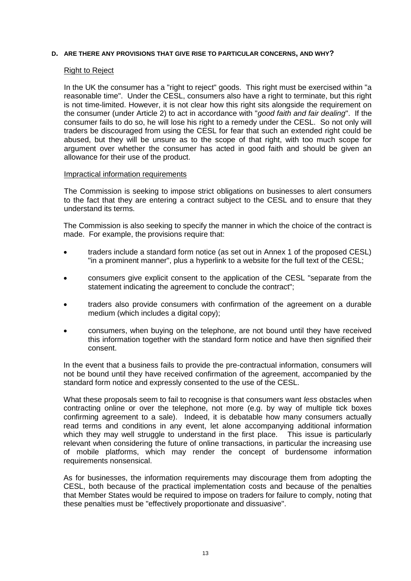#### **D. ARE THERE ANY PROVISIONS THAT GIVE RISE TO PARTICULAR CONCERNS, AND WHY?**

#### Right to Reject

In the UK the consumer has a "right to reject" goods. This right must be exercised within "a reasonable time". Under the CESL, consumers also have a right to terminate, but this right is not time-limited. However, it is not clear how this right sits alongside the requirement on the consumer (under Article 2) to act in accordance with "*good faith and fair dealing*". If the consumer fails to do so, he will lose his right to a remedy under the CESL. So not only will traders be discouraged from using the CESL for fear that such an extended right could be abused, but they will be unsure as to the scope of that right, with too much scope for argument over whether the consumer has acted in good faith and should be given an allowance for their use of the product.

#### Impractical information requirements

The Commission is seeking to impose strict obligations on businesses to alert consumers to the fact that they are entering a contract subject to the CESL and to ensure that they understand its terms.

The Commission is also seeking to specify the manner in which the choice of the contract is made. For example, the provisions require that:

- traders include a standard form notice (as set out in Annex 1 of the proposed CESL) "in a prominent manner", plus a hyperlink to a website for the full text of the CESL;
- consumers give explicit consent to the application of the CESL "separate from the statement indicating the agreement to conclude the contract";
- traders also provide consumers with confirmation of the agreement on a durable medium (which includes a digital copy);
- consumers, when buying on the telephone, are not bound until they have received this information together with the standard form notice and have then signified their consent.

In the event that a business fails to provide the pre-contractual information, consumers will not be bound until they have received confirmation of the agreement, accompanied by the standard form notice and expressly consented to the use of the CESL.

What these proposals seem to fail to recognise is that consumers want *less* obstacles when contracting online or over the telephone, not more (e.g. by way of multiple tick boxes confirming agreement to a sale). Indeed, it is debatable how many consumers actually read terms and conditions in any event, let alone accompanying additional information which they may well struggle to understand in the first place. This issue is particularly relevant when considering the future of online transactions, in particular the increasing use of mobile platforms, which may render the concept of burdensome information requirements nonsensical.

As for businesses, the information requirements may discourage them from adopting the CESL, both because of the practical implementation costs and because of the penalties that Member States would be required to impose on traders for failure to comply, noting that these penalties must be "effectively proportionate and dissuasive".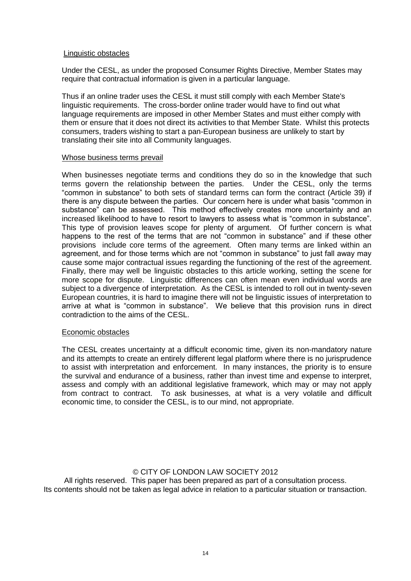# Linguistic obstacles

Under the CESL, as under the proposed Consumer Rights Directive, Member States may require that contractual information is given in a particular language.

Thus if an online trader uses the CESL it must still comply with each Member State's linguistic requirements. The cross-border online trader would have to find out what language requirements are imposed in other Member States and must either comply with them or ensure that it does not direct its activities to that Member State. Whilst this protects consumers, traders wishing to start a pan-European business are unlikely to start by translating their site into all Community languages.

# Whose business terms prevail

When businesses negotiate terms and conditions they do so in the knowledge that such terms govern the relationship between the parties. Under the CESL, only the terms "common in substance" to both sets of standard terms can form the contract (Article 39) if there is any dispute between the parties. Our concern here is under what basis "common in substance" can be assessed. This method effectively creates more uncertainty and an increased likelihood to have to resort to lawyers to assess what is "common in substance". This type of provision leaves scope for plenty of argument. Of further concern is what happens to the rest of the terms that are not "common in substance" and if these other provisions include core terms of the agreement. Often many terms are linked within an agreement, and for those terms which are not "common in substance" to just fall away may cause some major contractual issues regarding the functioning of the rest of the agreement. Finally, there may well be linguistic obstacles to this article working, setting the scene for more scope for dispute. Linguistic differences can often mean even individual words are subject to a divergence of interpretation. As the CESL is intended to roll out in twenty-seven European countries, it is hard to imagine there will not be linguistic issues of interpretation to arrive at what is "common in substance". We believe that this provision runs in direct contradiction to the aims of the CESL.

# Economic obstacles

The CESL creates uncertainty at a difficult economic time, given its non-mandatory nature and its attempts to create an entirely different legal platform where there is no jurisprudence to assist with interpretation and enforcement. In many instances, the priority is to ensure the survival and endurance of a business, rather than invest time and expense to interpret, assess and comply with an additional legislative framework, which may or may not apply from contract to contract. To ask businesses, at what is a very volatile and difficult economic time, to consider the CESL, is to our mind, not appropriate.

# © CITY OF LONDON LAW SOCIETY 2012

All rights reserved. This paper has been prepared as part of a consultation process. Its contents should not be taken as legal advice in relation to a particular situation or transaction.